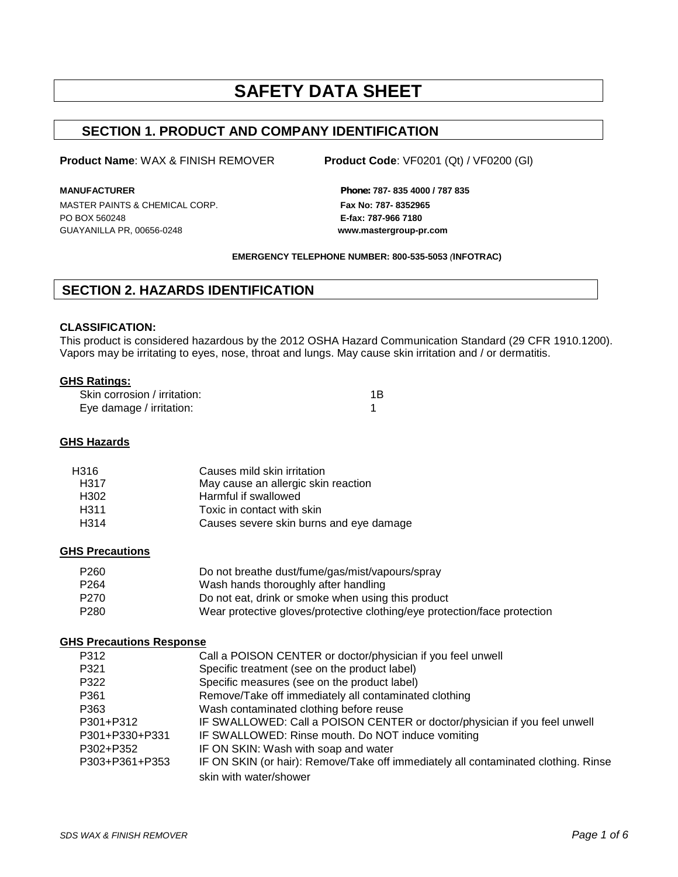# **SAFETY DATA SHEET**

# **SECTION 1. PRODUCT AND COMPANY IDENTIFICATION**

#### **Product Name**: WAX & FINISH REMOVER **Product Code**: VF0201 (Qt) / VF0200 (Gl)

MASTER PAINTS & CHEMICAL CORP. **Fax No: 787-8352965** PO BOX 560248 **E-fax: 787-966 7180** GUAYANILLA PR, 00656-0248 **www.mastergroup-pr.com**

**MANUFACTURER** *Phone:* **787- 835 4000 / 787 835**

#### **EMERGENCY TELEPHONE NUMBER: 800-535-5053** *(***INFOTRAC)**

# **SECTION 2. HAZARDS IDENTIFICATION**

#### **CLASSIFICATION:**

This product is considered hazardous by the 2012 OSHA Hazard Communication Standard (29 CFR 1910.1200). Vapors may be irritating to eyes, nose, throat and lungs. May cause skin irritation and / or dermatitis.

#### **GHS Ratings:**

| Skin corrosion / irritation: | 1B |
|------------------------------|----|
| Eye damage / irritation:     |    |

#### **GHS Hazards**

| H316             | Causes mild skin irritation             |
|------------------|-----------------------------------------|
| H317             | May cause an allergic skin reaction     |
| H <sub>302</sub> | Harmful if swallowed                    |
| H <sub>311</sub> | Toxic in contact with skin              |
| H <sub>314</sub> | Causes severe skin burns and eye damage |

#### **GHS Precautions**

| P <sub>260</sub> | Do not breathe dust/fume/gas/mist/vapours/spray                           |
|------------------|---------------------------------------------------------------------------|
| P <sub>264</sub> | Wash hands thoroughly after handling                                      |
| P <sub>270</sub> | Do not eat, drink or smoke when using this product                        |
| P <sub>280</sub> | Wear protective gloves/protective clothing/eye protection/face protection |

#### **GHS Precautions Response**

| P312           | Call a POISON CENTER or doctor/physician if you feel unwell                        |
|----------------|------------------------------------------------------------------------------------|
| P321           | Specific treatment (see on the product label)                                      |
| P322           | Specific measures (see on the product label)                                       |
| P361           | Remove/Take off immediately all contaminated clothing                              |
| P363           | Wash contaminated clothing before reuse                                            |
| P301+P312      | IF SWALLOWED: Call a POISON CENTER or doctor/physician if you feel unwell          |
| P301+P330+P331 | IF SWALLOWED: Rinse mouth. Do NOT induce vomiting                                  |
| P302+P352      | IF ON SKIN: Wash with soap and water                                               |
| P303+P361+P353 | IF ON SKIN (or hair): Remove/Take off immediately all contaminated clothing. Rinse |
|                | skin with water/shower                                                             |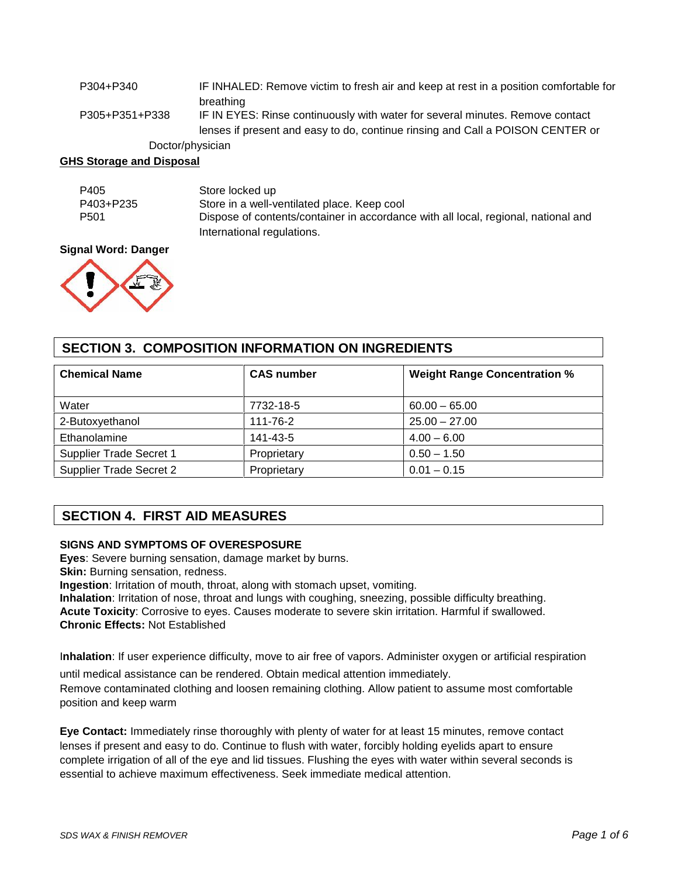| P304+P340        | IF INHALED: Remove victim to fresh air and keep at rest in a position comfortable for |
|------------------|---------------------------------------------------------------------------------------|
|                  | breathing                                                                             |
| P305+P351+P338   | IF IN EYES: Rinse continuously with water for several minutes. Remove contact         |
|                  | lenses if present and easy to do, continue rinsing and Call a POISON CENTER or        |
| Doctor/physician |                                                                                       |

#### **GHS Storage and Disposal**

| P405             | Store locked up                                                                    |
|------------------|------------------------------------------------------------------------------------|
| P403+P235        | Store in a well-ventilated place. Keep cool                                        |
| P <sub>501</sub> | Dispose of contents/container in accordance with all local, regional, national and |
|                  | International regulations.                                                         |

#### **Signal Word: Danger**



# **SECTION 3. COMPOSITION INFORMATION ON INGREDIENTS**

| <b>Chemical Name</b>    | <b>CAS number</b> | <b>Weight Range Concentration %</b> |
|-------------------------|-------------------|-------------------------------------|
| Water                   | 7732-18-5         | $60.00 - 65.00$                     |
| 2-Butoxyethanol         | 111-76-2          | $25.00 - 27.00$                     |
| Ethanolamine            | 141-43-5          | $4.00 - 6.00$                       |
| Supplier Trade Secret 1 | Proprietary       | $0.50 - 1.50$                       |
| Supplier Trade Secret 2 | Proprietary       | $0.01 - 0.15$                       |

# **SECTION 4. FIRST AID MEASURES**

## **SIGNS AND SYMPTOMS OF OVERESPOSURE**

**Eyes**: Severe burning sensation, damage market by burns.

**Skin:** Burning sensation, redness.

**Ingestion**: Irritation of mouth, throat, along with stomach upset, vomiting.

**Inhalation**: Irritation of nose, throat and lungs with coughing, sneezing, possible difficulty breathing. **Acute Toxicity**: Corrosive to eyes. Causes moderate to severe skin irritation. Harmful if swallowed. **Chronic Effects:** Not Established

I**nhalation**: If user experience difficulty, move to air free of vapors. Administer oxygen or artificial respiration until medical assistance can be rendered. Obtain medical attention immediately. Remove contaminated clothing and loosen remaining clothing. Allow patient to assume most comfortable position and keep warm

**Eye Contact:** Immediately rinse thoroughly with plenty of water for at least 15 minutes, remove contact lenses if present and easy to do. Continue to flush with water, forcibly holding eyelids apart to ensure complete irrigation of all of the eye and lid tissues. Flushing the eyes with water within several seconds is essential to achieve maximum effectiveness. Seek immediate medical attention.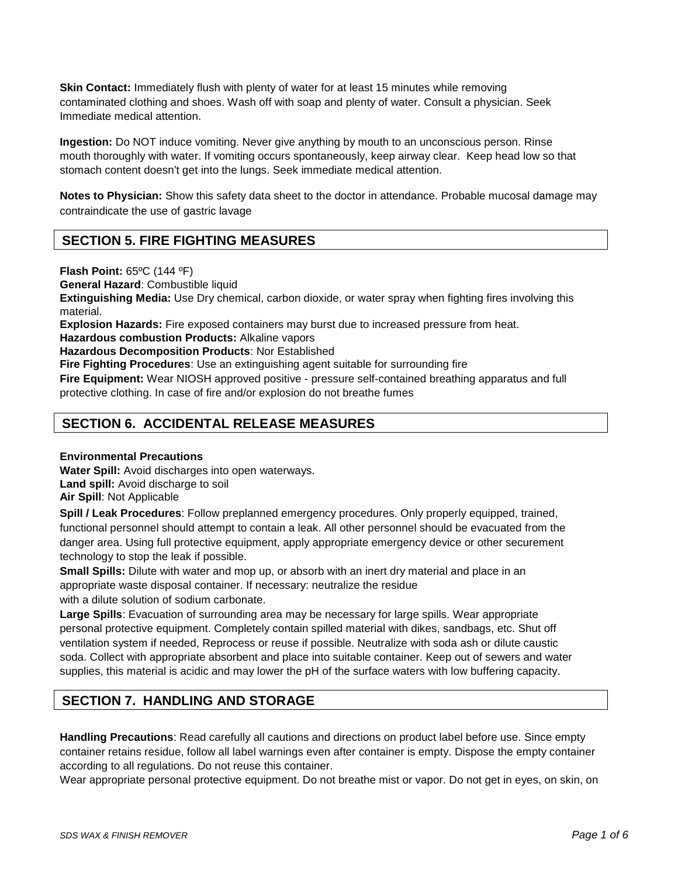**Skin Contact:** Immediately flush with plenty of water for at least 15 minutes while removing contaminated clothing and shoes. Wash off with soap and plenty of water. Consult a physician. Seek Immediate medical attention.

**Ingestion:** Do NOT induce vomiting. Never give anything by mouth to an unconscious person. Rinse mouth thoroughly with water. If vomiting occurs spontaneously, keep airway clear. Keep head low so that stomach content doesn't get into the lungs. Seek immediate medical attention.

**Notes to Physician:** Show this safety data sheet to the doctor in attendance. Probable mucosal damage may contraindicate the use of gastric lavage

# **SECTION 5. FIRE FIGHTING MEASURES**

**Flash Point:** 65ºC (144 ºF)

**General Hazard**: Combustible liquid

**Extinguishing Media:** Use Dry chemical, carbon dioxide, or water spray when fighting fires involving this material.

**Explosion Hazards:** Fire exposed containers may burst due to increased pressure from heat.

**Hazardous combustion Products:** Alkaline vapors

**Hazardous Decomposition Products**: Nor Established

**Fire Fighting Procedures**: Use an extinguishing agent suitable for surrounding fire

**Fire Equipment:** Wear NIOSH approved positive - pressure self-contained breathing apparatus and full protective clothing. In case of fire and/or explosion do not breathe fumes

# **SECTION 6. ACCIDENTAL RELEASE MEASURES**

#### **Environmental Precautions**

**Water Spill:** Avoid discharges into open waterways. **Land spill:** Avoid discharge to soil **Air Spill**: Not Applicable

**Spill / Leak Procedures**: Follow preplanned emergency procedures. Only properly equipped, trained, functional personnel should attempt to contain a leak. All other personnel should be evacuated from the danger area. Using full protective equipment, apply appropriate emergency device or other securement technology to stop the leak if possible.

**Small Spills:** Dilute with water and mop up, or absorb with an inert dry material and place in an appropriate waste disposal container. If necessary: neutralize the residue with a dilute solution of sodium carbonate.

**Large Spills**: Evacuation of surrounding area may be necessary for large spills. Wear appropriate personal protective equipment. Completely contain spilled material with dikes, sandbags, etc. Shut off ventilation system if needed, Reprocess or reuse if possible. Neutralize with soda ash or dilute caustic soda. Collect with appropriate absorbent and place into suitable container. Keep out of sewers and water supplies, this material is acidic and may lower the pH of the surface waters with low buffering capacity.

# **SECTION 7. HANDLING AND STORAGE**

**Handling Precautions**: Read carefully all cautions and directions on product label before use. Since empty container retains residue, follow all label warnings even after container is empty. Dispose the empty container according to all regulations. Do not reuse this container.

Wear appropriate personal protective equipment. Do not breathe mist or vapor. Do not get in eyes, on skin, on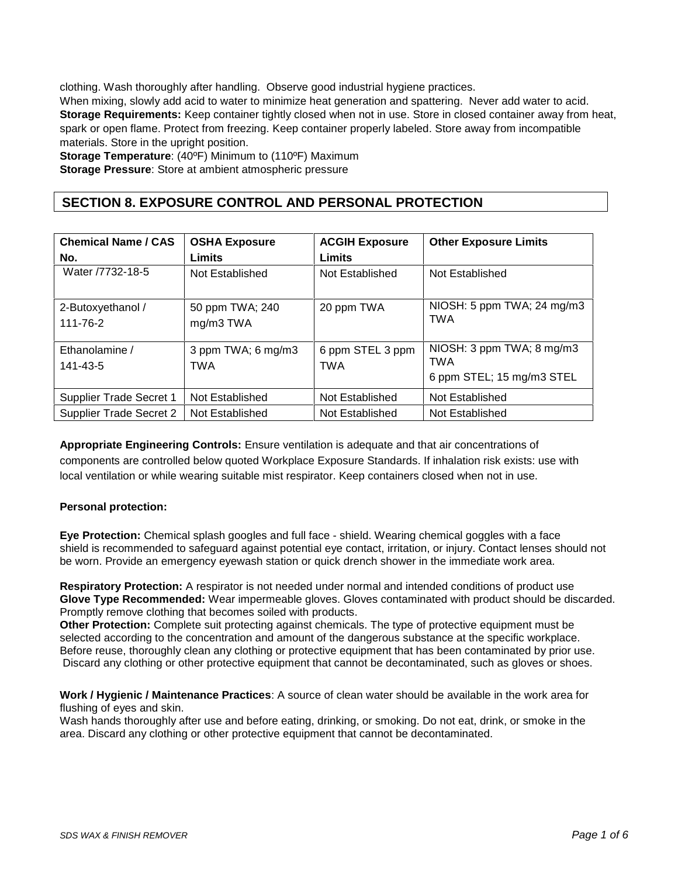clothing. Wash thoroughly after handling. Observe good industrial hygiene practices.

When mixing, slowly add acid to water to minimize heat generation and spattering. Never add water to acid. **Storage Requirements:** Keep container tightly closed when not in use. Store in closed container away from heat, spark or open flame. Protect from freezing. Keep container properly labeled. Store away from incompatible materials. Store in the upright position.

**Storage Temperature**: (40ºF) Minimum to (110ºF) Maximum **Storage Pressure**: Store at ambient atmospheric pressure

# **SECTION 8. EXPOSURE CONTROL AND PERSONAL PROTECTION**

| <b>Chemical Name / CAS</b><br>No. | <b>OSHA Exposure</b><br>Limits   | <b>ACGIH Exposure</b><br>Limits | <b>Other Exposure Limits</b>                                  |
|-----------------------------------|----------------------------------|---------------------------------|---------------------------------------------------------------|
| Water /7732-18-5                  | Not Established                  | Not Established                 | Not Established                                               |
| 2-Butoxyethanol /<br>111-76-2     | 50 ppm TWA; 240<br>mg/m3 TWA     | 20 ppm TWA                      | NIOSH: 5 ppm TWA; 24 mg/m3<br><b>TWA</b>                      |
| Ethanolamine /<br>141-43-5        | 3 ppm TWA; 6 mg/m3<br><b>TWA</b> | 6 ppm STEL 3 ppm<br><b>TWA</b>  | NIOSH: 3 ppm TWA; 8 mg/m3<br>TWA<br>6 ppm STEL; 15 mg/m3 STEL |
| <b>Supplier Trade Secret 1</b>    | Not Established                  | Not Established                 | Not Established                                               |
| <b>Supplier Trade Secret 2</b>    | Not Established                  | Not Established                 | Not Established                                               |

**Appropriate Engineering Controls:** Ensure ventilation is adequate and that air concentrations of components are controlled below quoted Workplace Exposure Standards. If inhalation risk exists: use with local ventilation or while wearing suitable mist respirator. Keep containers closed when not in use.

## **Personal protection:**

**Eye Protection:** Chemical splash googles and full face - shield. Wearing chemical goggles with a face shield is recommended to safeguard against potential eye contact, irritation, or injury. Contact lenses should not be worn. Provide an emergency eyewash station or quick drench shower in the immediate work area.

**Respiratory Protection:** A respirator is not needed under normal and intended conditions of product use **Glove Type Recommended:** Wear impermeable gloves. Gloves contaminated with product should be discarded. Promptly remove clothing that becomes soiled with products.

**Other Protection:** Complete suit protecting against chemicals. The type of protective equipment must be selected according to the concentration and amount of the dangerous substance at the specific workplace. Before reuse, thoroughly clean any clothing or protective equipment that has been contaminated by prior use. Discard any clothing or other protective equipment that cannot be decontaminated, such as gloves or shoes.

**Work / Hygienic / Maintenance Practices**: A source of clean water should be available in the work area for flushing of eyes and skin.

Wash hands thoroughly after use and before eating, drinking, or smoking. Do not eat, drink, or smoke in the area. Discard any clothing or other protective equipment that cannot be decontaminated.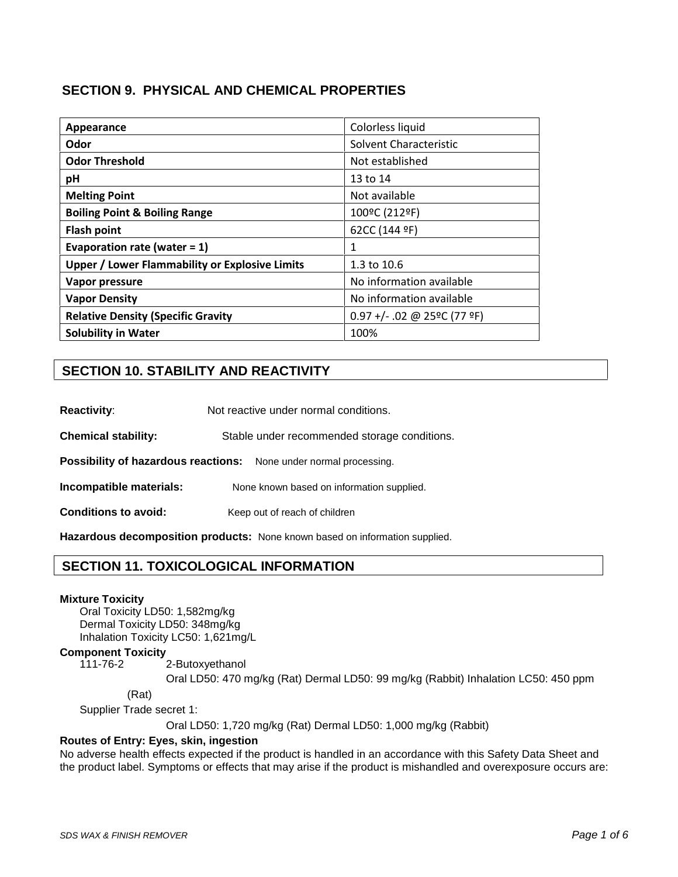# **SECTION 9. PHYSICAL AND CHEMICAL PROPERTIES**

| Appearance                                            | Colorless liquid              |
|-------------------------------------------------------|-------------------------------|
| Odor                                                  | Solvent Characteristic        |
| <b>Odor Threshold</b>                                 | Not established               |
| pH                                                    | 13 to 14                      |
| <b>Melting Point</b>                                  | Not available                 |
| <b>Boiling Point &amp; Boiling Range</b>              | 100°C (212°F)                 |
| <b>Flash point</b>                                    | 62CC (144 ºF)                 |
| Evaporation rate (water = $1$ )                       | 1                             |
| <b>Upper / Lower Flammability or Explosive Limits</b> | 1.3 to 10.6                   |
| Vapor pressure                                        | No information available      |
| <b>Vapor Density</b>                                  | No information available      |
| <b>Relative Density (Specific Gravity</b>             | $0.97 +/- .02$ @ 25°C (77 °F) |
| <b>Solubility in Water</b>                            | 100%                          |

# **SECTION 10. STABILITY AND REACTIVITY**

**Chemical stability:** Stable under recommended storage conditions.

**Possibility of hazardous reactions:** None under normal processing.

**Incompatible materials:** None known based on information supplied.

**Conditions to avoid:** Keep out of reach of children

**Hazardous decomposition products:** None known based on information supplied.

# **SECTION 11. TOXICOLOGICAL INFORMATION**

#### **Mixture Toxicity**

Oral Toxicity LD50: 1,582mg/kg Dermal Toxicity LD50: 348mg/kg Inhalation Toxicity LC50: 1,621mg/L

# **Component Toxicity**

2-Butoxyethanol

Oral LD50: 470 mg/kg (Rat) Dermal LD50: 99 mg/kg (Rabbit) Inhalation LC50: 450 ppm

(Rat)

Supplier Trade secret 1:

Oral LD50: 1,720 mg/kg (Rat) Dermal LD50: 1,000 mg/kg (Rabbit)

#### **Routes of Entry: Eyes, skin, ingestion**

No adverse health effects expected if the product is handled in an accordance with this Safety Data Sheet and the product label. Symptoms or effects that may arise if the product is mishandled and overexposure occurs are: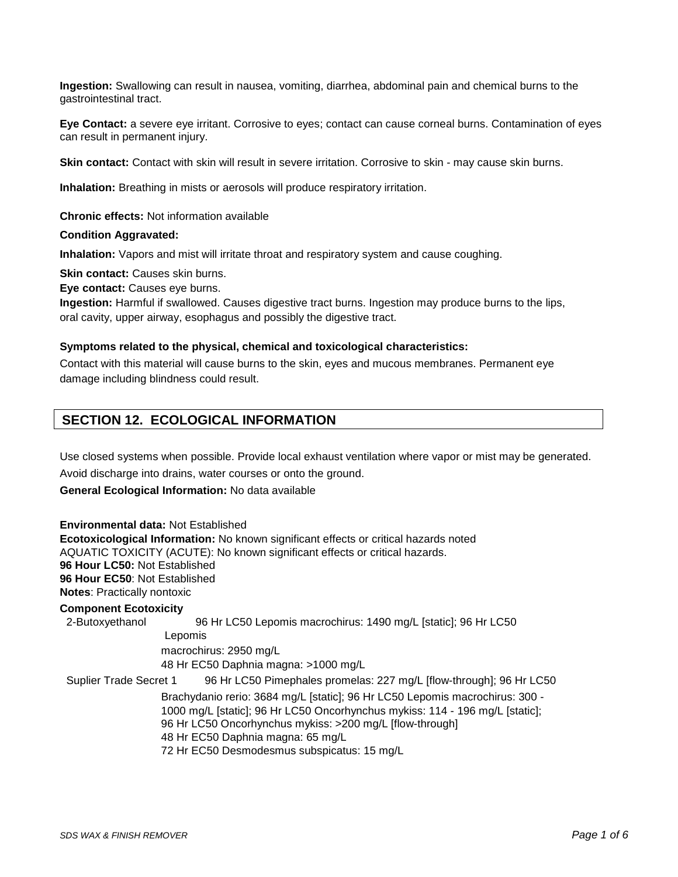**Ingestion:** Swallowing can result in nausea, vomiting, diarrhea, abdominal pain and chemical burns to the gastrointestinal tract.

**Eye Contact:** a severe eye irritant. Corrosive to eyes; contact can cause corneal burns. Contamination of eyes can result in permanent injury.

**Skin contact:** Contact with skin will result in severe irritation. Corrosive to skin - may cause skin burns.

**Inhalation:** Breathing in mists or aerosols will produce respiratory irritation.

**Chronic effects:** Not information available

#### **Condition Aggravated:**

**Inhalation:** Vapors and mist will irritate throat and respiratory system and cause coughing.

**Skin contact:** Causes skin burns.

**Eye contact:** Causes eye burns.

**Ingestion:** Harmful if swallowed. Causes digestive tract burns. Ingestion may produce burns to the lips, oral cavity, upper airway, esophagus and possibly the digestive tract.

#### **Symptoms related to the physical, chemical and toxicological characteristics:**

Contact with this material will cause burns to the skin, eyes and mucous membranes. Permanent eye damage including blindness could result.

# **SECTION 12. ECOLOGICAL INFORMATION**

Use closed systems when possible. Provide local exhaust ventilation where vapor or mist may be generated.

Avoid discharge into drains, water courses or onto the ground.

**General Ecological Information:** No data available

**Environmental data:** Not Established **Ecotoxicological Information:** No known significant effects or critical hazards noted AQUATIC TOXICITY (ACUTE): No known significant effects or critical hazards. **96 Hour LC50:** Not Established **96 Hour EC50**: Not Established **Notes**: Practically nontoxic **Component Ecotoxicity** 2-Butoxyethanol 96 Hr LC50 Lepomis macrochirus: 1490 mg/L [static]; 96 Hr LC50 Lepomis macrochirus: 2950 mg/L 48 Hr EC50 Daphnia magna: >1000 mg/L Suplier Trade Secret 1 96 Hr LC50 Pimephales promelas: 227 mg/L [flow-through]; 96 Hr LC50 Brachydanio rerio: 3684 mg/L [static]; 96 Hr LC50 Lepomis macrochirus: 300 - 1000 mg/L [static]; 96 Hr LC50 Oncorhynchus mykiss: 114 - 196 mg/L [static]; 96 Hr LC50 Oncorhynchus mykiss: >200 mg/L [flow-through] 48 Hr EC50 Daphnia magna: 65 mg/L 72 Hr EC50 Desmodesmus subspicatus: 15 mg/L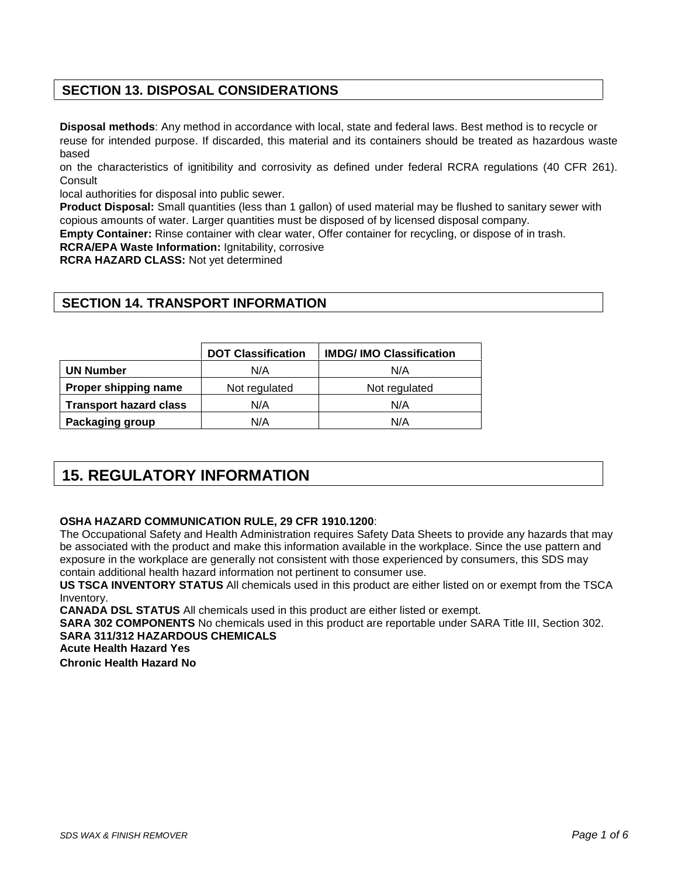# **SECTION 13. DISPOSAL CONSIDERATIONS**

**Disposal methods**: Any method in accordance with local, state and federal laws. Best method is to recycle or reuse for intended purpose. If discarded, this material and its containers should be treated as hazardous waste based

on the characteristics of ignitibility and corrosivity as defined under federal RCRA regulations (40 CFR 261). **Consult** 

local authorities for disposal into public sewer.

**Product Disposal:** Small quantities (less than 1 gallon) of used material may be flushed to sanitary sewer with copious amounts of water. Larger quantities must be disposed of by licensed disposal company.

**Empty Container:** Rinse container with clear water, Offer container for recycling, or dispose of in trash.

**RCRA/EPA Waste Information:** Ignitability, corrosive

**RCRA HAZARD CLASS:** Not yet determined

# **SECTION 14. TRANSPORT INFORMATION**

|                               | <b>DOT Classification</b> | <b>IMDG/IMO Classification</b> |
|-------------------------------|---------------------------|--------------------------------|
| <b>UN Number</b>              | N/A                       | N/A                            |
| Proper shipping name          | Not regulated             | Not regulated                  |
| <b>Transport hazard class</b> | N/A                       | N/A                            |
| Packaging group               | N/A                       | N/A                            |

# **15. REGULATORY INFORMATION**

#### **OSHA HAZARD COMMUNICATION RULE, 29 CFR 1910.1200**:

The Occupational Safety and Health Administration requires Safety Data Sheets to provide any hazards that may be associated with the product and make this information available in the workplace. Since the use pattern and exposure in the workplace are generally not consistent with those experienced by consumers, this SDS may contain additional health hazard information not pertinent to consumer use.

**US TSCA INVENTORY STATUS** All chemicals used in this product are either listed on or exempt from the TSCA Inventory.

**CANADA DSL STATUS** All chemicals used in this product are either listed or exempt.

**SARA 302 COMPONENTS** No chemicals used in this product are reportable under SARA Title III, Section 302. **SARA 311/312 HAZARDOUS CHEMICALS**

**Acute Health Hazard Yes**

**Chronic Health Hazard No**